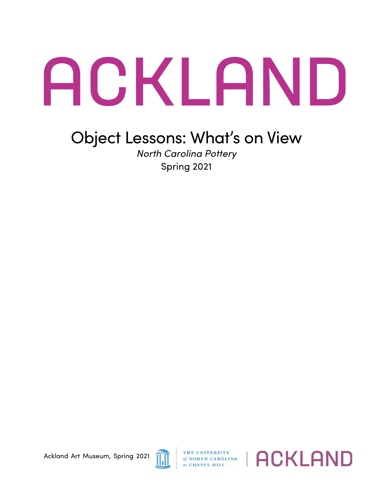## ACKLAND

## Object Lessons: What's on View

*North Carolina Pottery* Spring 2021

Ackland Art Museum, Spring 2021



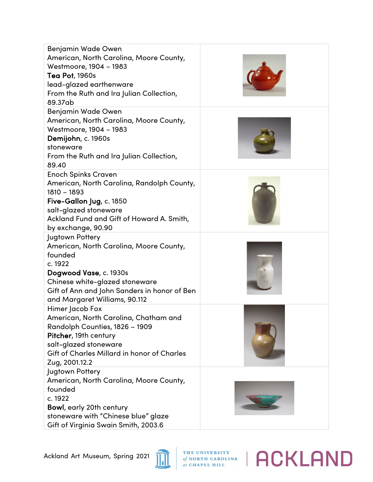| <b>Benjamin Wade Owen</b>                                                                                                                                                                                                                                                                                                                                                                                                                                                                     |  |
|-----------------------------------------------------------------------------------------------------------------------------------------------------------------------------------------------------------------------------------------------------------------------------------------------------------------------------------------------------------------------------------------------------------------------------------------------------------------------------------------------|--|
| American, North Carolina, Moore County,                                                                                                                                                                                                                                                                                                                                                                                                                                                       |  |
| Westmoore, 1904 - 1983                                                                                                                                                                                                                                                                                                                                                                                                                                                                        |  |
| <b>Tea Pot, 1960s</b>                                                                                                                                                                                                                                                                                                                                                                                                                                                                         |  |
| lead-glazed earthenware                                                                                                                                                                                                                                                                                                                                                                                                                                                                       |  |
| From the Ruth and Ira Julian Collection,                                                                                                                                                                                                                                                                                                                                                                                                                                                      |  |
| 89.37ab                                                                                                                                                                                                                                                                                                                                                                                                                                                                                       |  |
| Benjamin Wade Owen                                                                                                                                                                                                                                                                                                                                                                                                                                                                            |  |
| American, North Carolina, Moore County,                                                                                                                                                                                                                                                                                                                                                                                                                                                       |  |
| Westmoore, 1904 - 1983                                                                                                                                                                                                                                                                                                                                                                                                                                                                        |  |
| Demijohn, c. 1960s                                                                                                                                                                                                                                                                                                                                                                                                                                                                            |  |
| stoneware                                                                                                                                                                                                                                                                                                                                                                                                                                                                                     |  |
| From the Ruth and Ira Julian Collection,                                                                                                                                                                                                                                                                                                                                                                                                                                                      |  |
| 89.40                                                                                                                                                                                                                                                                                                                                                                                                                                                                                         |  |
| <b>Enoch Spinks Craven</b>                                                                                                                                                                                                                                                                                                                                                                                                                                                                    |  |
| American, North Carolina, Randolph County,                                                                                                                                                                                                                                                                                                                                                                                                                                                    |  |
| $1810 - 1893$                                                                                                                                                                                                                                                                                                                                                                                                                                                                                 |  |
| Five-Gallon Jug, c. 1850                                                                                                                                                                                                                                                                                                                                                                                                                                                                      |  |
| salt-glazed stoneware                                                                                                                                                                                                                                                                                                                                                                                                                                                                         |  |
| Ackland Fund and Gift of Howard A. Smith,                                                                                                                                                                                                                                                                                                                                                                                                                                                     |  |
| by exchange, 90.90                                                                                                                                                                                                                                                                                                                                                                                                                                                                            |  |
| Jugtown Pottery                                                                                                                                                                                                                                                                                                                                                                                                                                                                               |  |
| American, North Carolina, Moore County,                                                                                                                                                                                                                                                                                                                                                                                                                                                       |  |
| founded                                                                                                                                                                                                                                                                                                                                                                                                                                                                                       |  |
| c. 1922                                                                                                                                                                                                                                                                                                                                                                                                                                                                                       |  |
| Dogwood Vase, c. 1930s                                                                                                                                                                                                                                                                                                                                                                                                                                                                        |  |
| Chinese white-glazed stoneware                                                                                                                                                                                                                                                                                                                                                                                                                                                                |  |
|                                                                                                                                                                                                                                                                                                                                                                                                                                                                                               |  |
|                                                                                                                                                                                                                                                                                                                                                                                                                                                                                               |  |
|                                                                                                                                                                                                                                                                                                                                                                                                                                                                                               |  |
|                                                                                                                                                                                                                                                                                                                                                                                                                                                                                               |  |
|                                                                                                                                                                                                                                                                                                                                                                                                                                                                                               |  |
|                                                                                                                                                                                                                                                                                                                                                                                                                                                                                               |  |
|                                                                                                                                                                                                                                                                                                                                                                                                                                                                                               |  |
|                                                                                                                                                                                                                                                                                                                                                                                                                                                                                               |  |
|                                                                                                                                                                                                                                                                                                                                                                                                                                                                                               |  |
|                                                                                                                                                                                                                                                                                                                                                                                                                                                                                               |  |
|                                                                                                                                                                                                                                                                                                                                                                                                                                                                                               |  |
|                                                                                                                                                                                                                                                                                                                                                                                                                                                                                               |  |
|                                                                                                                                                                                                                                                                                                                                                                                                                                                                                               |  |
|                                                                                                                                                                                                                                                                                                                                                                                                                                                                                               |  |
|                                                                                                                                                                                                                                                                                                                                                                                                                                                                                               |  |
| Gift of Ann and John Sanders in honor of Ben<br>and Margaret Williams, 90.112<br>Himer Jacob Fox<br>American, North Carolina, Chatham and<br>Randolph Counties, 1826 - 1909<br>Pitcher, 19th century<br>salt-glazed stoneware<br>Gift of Charles Millard in honor of Charles<br>Zug, 2001.12.2<br>Jugtown Pottery<br>American, North Carolina, Moore County,<br>founded<br>c. 1922<br>Bowl, early 20th century<br>stoneware with "Chinese blue" glaze<br>Gift of Virginia Swain Smith, 2003.6 |  |